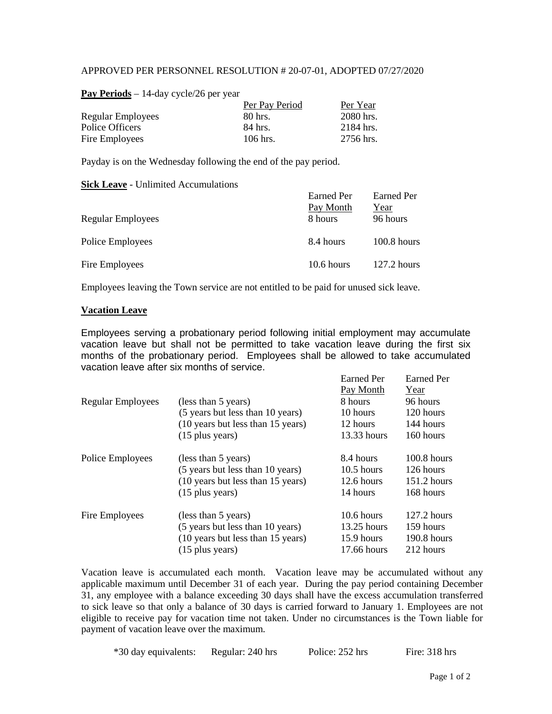#### APPROVED PER PERSONNEL RESOLUTION # 20-07-01, ADOPTED 07/27/2020

| Per Pay Period | Per Year  |
|----------------|-----------|
| 80 hrs.        | 2080 hrs. |
| 84 hrs.        | 2184 hrs. |
| $106$ hrs.     | 2756 hrs. |
|                |           |

**Pay Periods** – 14-day cycle/26 per year

Payday is on the Wednesday following the end of the pay period.

#### **Sick Leave** - Unlimited Accumulations

|                   | Earned Per<br>Pay Month | Earned Per       |
|-------------------|-------------------------|------------------|
| Regular Employees | 8 hours                 | Year<br>96 hours |
| Police Employees  | 8.4 hours               | $100.8$ hours    |
| Fire Employees    | $10.6$ hours            | $127.2$ hours    |

Employees leaving the Town service are not entitled to be paid for unused sick leave.

#### **Vacation Leave**

Employees serving a probationary period following initial employment may accumulate vacation leave but shall not be permitted to take vacation leave during the first six months of the probationary period. Employees shall be allowed to take accumulated vacation leave after six months of service. Earned Per Earned Per

|                          |                                   | таніся ген   | таніси ген    |
|--------------------------|-----------------------------------|--------------|---------------|
|                          |                                   | Pay Month    | Year          |
| <b>Regular Employees</b> | (less than 5 years)               | 8 hours      | 96 hours      |
|                          | (5 years but less than 10 years)  | 10 hours     | 120 hours     |
|                          | (10 years but less than 15 years) | 12 hours     | 144 hours     |
|                          | $(15$ plus years)                 | 13.33 hours  | 160 hours     |
| Police Employees         | (less than 5 years)               | 8.4 hours    | $100.8$ hours |
|                          | (5 years but less than 10 years)  | $10.5$ hours | 126 hours     |
|                          | (10 years but less than 15 years) | $12.6$ hours | $151.2$ hours |
|                          | $(15$ plus years)                 | 14 hours     | 168 hours     |
| Fire Employees           | (less than 5 years)               | $10.6$ hours | $127.2$ hours |
|                          | (5 years but less than 10 years)  | 13.25 hours  | 159 hours     |
|                          | (10 years but less than 15 years) | 15.9 hours   | $190.8$ hours |
|                          | $(15$ plus years)                 | 17.66 hours  | 212 hours     |
|                          |                                   |              |               |

Vacation leave is accumulated each month. Vacation leave may be accumulated without any applicable maximum until December 31 of each year. During the pay period containing December 31, any employee with a balance exceeding 30 days shall have the excess accumulation transferred to sick leave so that only a balance of 30 days is carried forward to January 1. Employees are not eligible to receive pay for vacation time not taken. Under no circumstances is the Town liable for payment of vacation leave over the maximum.

\*30 day equivalents: Regular: 240 hrs Police: 252 hrs Fire: 318 hrs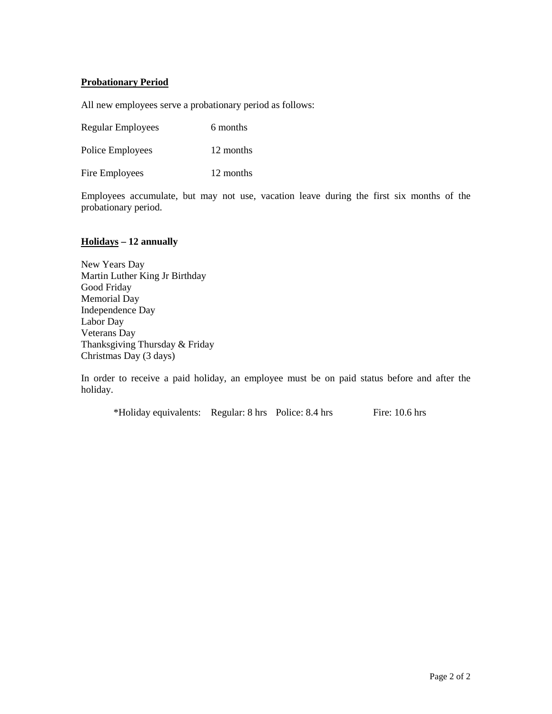#### **Probationary Period**

All new employees serve a probationary period as follows:

Regular Employees 6 months

Police Employees 12 months

Fire Employees 12 months

Employees accumulate, but may not use, vacation leave during the first six months of the probationary period.

#### **Holidays – 12 annually**

New Years Day Martin Luther King Jr Birthday Good Friday Memorial Day Independence Day Labor Day Veterans Day Thanksgiving Thursday & Friday Christmas Day (3 days)

In order to receive a paid holiday, an employee must be on paid status before and after the holiday.

\*Holiday equivalents: Regular: 8 hrs Police: 8.4 hrs Fire: 10.6 hrs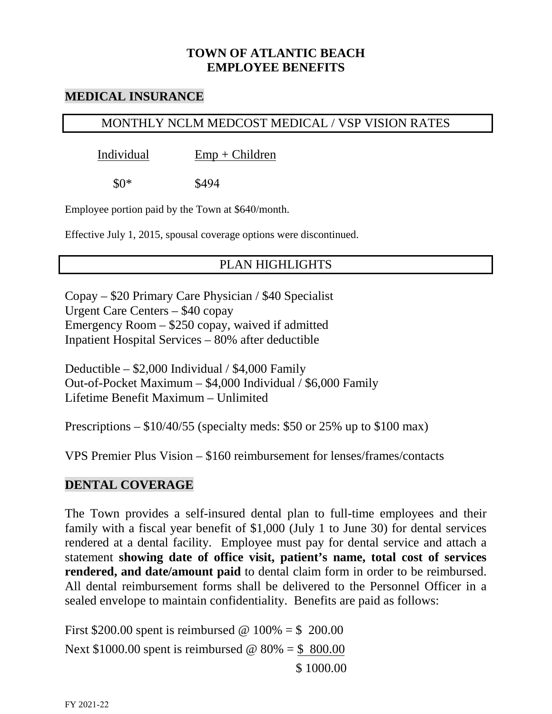## **TOWN OF ATLANTIC BEACH EMPLOYEE BENEFITS**

### **MEDICAL INSURANCE**

## MONTHLY NCLM MEDCOST MEDICAL / VSP VISION RATES

Individual Emp + Children

 $$0*$  \$494

Employee portion paid by the Town at \$640/month.

Effective July 1, 2015, spousal coverage options were discontinued.

# PLAN HIGHLIGHTS

Copay – \$20 Primary Care Physician / \$40 Specialist Urgent Care Centers – \$40 copay Emergency Room – \$250 copay, waived if admitted Inpatient Hospital Services – 80% after deductible

Deductible – \$2,000 Individual / \$4,000 Family Out-of-Pocket Maximum – \$4,000 Individual / \$6,000 Family Lifetime Benefit Maximum – Unlimited

Prescriptions  $-$  \$10/40/55 (specialty meds: \$50 or 25% up to \$100 max)

VPS Premier Plus Vision – \$160 reimbursement for lenses/frames/contacts

## **DENTAL COVERAGE**

The Town provides a self-insured dental plan to full-time employees and their family with a fiscal year benefit of \$1,000 (July 1 to June 30) for dental services rendered at a dental facility. Employee must pay for dental service and attach a statement **showing date of office visit, patient's name, total cost of services rendered, and date/amount paid** to dental claim form in order to be reimbursed. All dental reimbursement forms shall be delivered to the Personnel Officer in a sealed envelope to maintain confidentiality. Benefits are paid as follows:

First \$200.00 spent is reimbursed @  $100\% = $ 200.00$ Next \$1000.00 spent is reimbursed  $\omega$  80% = \$ 800.00 \$ 1000.00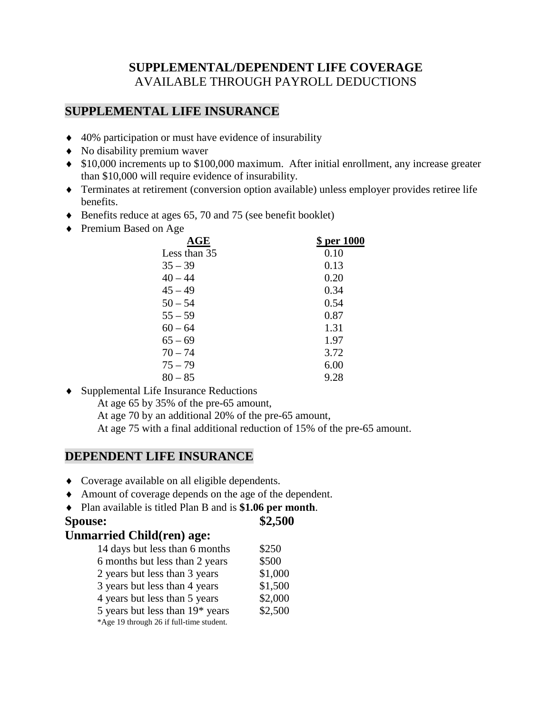## **SUPPLEMENTAL/DEPENDENT LIFE COVERAGE** AVAILABLE THROUGH PAYROLL DEDUCTIONS

### **SUPPLEMENTAL LIFE INSURANCE**

- ♦ 40% participation or must have evidence of insurability
- ♦ No disability premium waver
- ♦ \$10,000 increments up to \$100,000 maximum. After initial enrollment, any increase greater than \$10,000 will require evidence of insurability.
- ♦ Terminates at retirement (conversion option available) unless employer provides retiree life benefits.
- ♦ Benefits reduce at ages 65, 70 and 75 (see benefit booklet)
- ♦ Premium Based on Age

| $\mathbf{AGE}$ | \$ per 1000 |
|----------------|-------------|
| Less than 35   | 0.10        |
| $35 - 39$      | 0.13        |
| $40 - 44$      | 0.20        |
| $45 - 49$      | 0.34        |
| $50 - 54$      | 0.54        |
| $55 - 59$      | 0.87        |
| $60 - 64$      | 1.31        |
| $65 - 69$      | 1.97        |
| $70 - 74$      | 3.72        |
| $75 - 79$      | 6.00        |
| $80 - 85$      | 9.28        |
|                |             |

♦ Supplemental Life Insurance Reductions

At age 65 by 35% of the pre-65 amount,

At age 70 by an additional 20% of the pre-65 amount,

At age 75 with a final additional reduction of 15% of the pre-65 amount.

### **DEPENDENT LIFE INSURANCE**

- ♦ Coverage available on all eligible dependents.
- ♦ Amount of coverage depends on the age of the dependent.
- ♦ Plan available is titled Plan B and is **\$1.06 per month**.

#### **Spouse:** \$2,500

#### **Unmarried Child(ren) age:**

| 14 days but less than 6 months           | \$250   |
|------------------------------------------|---------|
| 6 months but less than 2 years           | \$500   |
| 2 years but less than 3 years            | \$1,000 |
| 3 years but less than 4 years            | \$1,500 |
| 4 years but less than 5 years            | \$2,000 |
| 5 years but less than $19*$ years        | \$2,500 |
| *Age 19 through 26 if full-time student. |         |